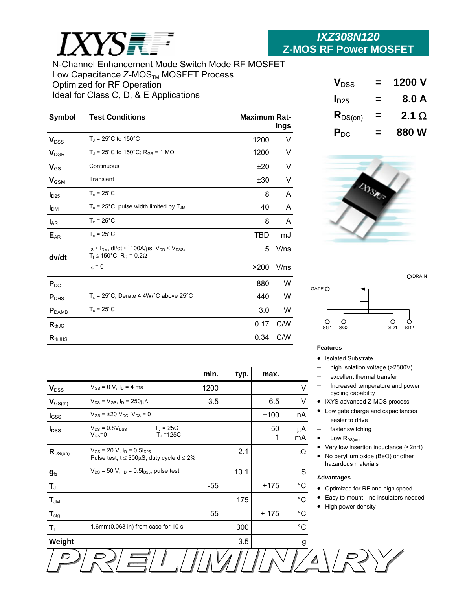

# N-Channel Enhancement Mode Switch Mode RF MOSFET Low Capacitance Z-MOS $_{\text{TM}}$  MOSFET Process Optimized for RF Operation Ideal for Class C, D, & E Applications Applications Applications Applications Applications Applications Applications Applications Applications Applications Applications Applications Applications Applications Applications A

| Symbol                  | <b>Test Conditions</b>                                                                                     | <b>Maximum Rat-</b> | ings |
|-------------------------|------------------------------------------------------------------------------------------------------------|---------------------|------|
| <b>V</b> <sub>DSS</sub> | $T_J = 25^{\circ}$ C to 150 $^{\circ}$ C                                                                   | 1200                | V    |
| <b>V</b> <sub>DGR</sub> | $T_J$ = 25°C to 150°C; R <sub>GS</sub> = 1 M $\Omega$                                                      | 1200                | V    |
| $V_{GS}$                | Continuous                                                                                                 | ±20                 | V    |
| $V_{\text{GSM}}$        | Transient                                                                                                  | ±30                 | V    |
| I <sub>D25</sub>        | $T_c = 25^{\circ}$ C                                                                                       | 8                   | A    |
| I <sub>DM</sub>         | $T_c$ = 25°C, pulse width limited by $T_{JM}$                                                              | 40                  | A    |
| $I_{AR}$                | $T_c = 25^{\circ}$ C                                                                                       | 8                   | A    |
| $E_{AR}$                | $T_c = 25^{\circ}$ C                                                                                       | <b>TBD</b>          | mJ   |
| dv/dt                   | $I_S \le I_{DM}$ , di/dt $\le 100A/\mu s$ , $V_{DD} \le V_{DSS}$ ,<br>$T_i$ ≤ 150°C, R <sub>G</sub> = 0.2Ω | 5                   | V/ns |
|                         | $IS = 0$                                                                                                   | >200                | V/ns |
| $P_{DC}$                |                                                                                                            | 880                 | W    |
| $P_{\text{DHS}}$        | $T_c$ = 25°C, Derate 4.4W/°C above 25°C                                                                    | 440                 | W    |
| P <sub>DAMB</sub>       | $T_c = 25^{\circ}$ C                                                                                       | 3.0                 | W    |
| $R_{thJC}$              |                                                                                                            | 0.17                | C/W  |
| $R_{thJHS}$             |                                                                                                            | 0.34                | C/W  |

|                          |                                                                                                    | min.    | typ. | max.    |              |
|--------------------------|----------------------------------------------------------------------------------------------------|---------|------|---------|--------------|
|                          |                                                                                                    |         |      |         |              |
| $V_{DSS}$                | $V_{GS} = 0 V$ , $I_D = 4$ ma                                                                      | 1200    |      |         | V            |
| $\bm{V}_{\text{GS(th)}}$ | $V_{DS} = V_{GS}$ , $I_D = 250 \mu A$                                                              | $3.5\,$ |      | 6.5     | V            |
| $I_{GSS}$                | $V_{GS}$ = ±20 $V_{DC}$ , $V_{DS}$ = 0                                                             |         |      | ±100    | nA           |
| $I_{\text{DSS}}$         | $T_{J}$ = 25C<br>$V_{DS}$ = 0.8 $V_{DSS}$<br>$V_{GS} = 0$<br>$T1 = 125C$                           |         |      | 50<br>1 | μA<br>mA     |
| $R_{DS(on)}$             | $V_{GS}$ = 20 V, $I_D$ = 0.5 $I_{D25}$<br>Pulse test, $t \leq 300 \mu S$ , duty cycle d $\leq 2\%$ |         | 2.1  |         | Ω            |
| $g_{\text{fs}}$          | $V_{DS}$ = 50 V, $I_D$ = 0.5 $I_{D25}$ , pulse test                                                |         | 10.1 |         | S            |
| $T_{\text{J}}$           |                                                                                                    | -55     |      | $+175$  | $^{\circ}$ C |
| $T_{JM}$                 |                                                                                                    |         | 175  |         | $^{\circ}C$  |
| $T_{\text{stg}}$         |                                                                                                    | -55     |      | $+175$  | $^{\circ}C$  |
| $T_{L}$                  | 1.6mm(0.063 in) from case for 10 s                                                                 |         | 300  |         | $^{\circ}C$  |
| Weight                   |                                                                                                    |         | 3.5  |         | g            |
|                          |                                                                                                    |         |      |         |              |

s

| $V_{\text{DSS}}$ | ⋍ | 1200 V       |
|------------------|---|--------------|
| I <sub>D25</sub> | - | 8.0 A        |
| $R_{DS(on)}$     | = | 2.1 $\Omega$ |
| $P_{DC}$         |   | 880 W        |





# **Features**

• Isolated Substrate

- − high isolation voltage (>2500V)
- excellent thermal transfer
- − Increased temperature and power cycling capability
- IXYS advanced Z-MOS process
- Low gate charge and capacitances
- easier to drive
- faster switching
- Low  $R_{DS(on)}$
- Very low insertion inductance (<2nH)
- No beryllium oxide (BeO) or other hazardous materials

#### **Advantages**

Δ

- Optimized for RF and high speed
- Easy to mount—no insulators needed
- High power density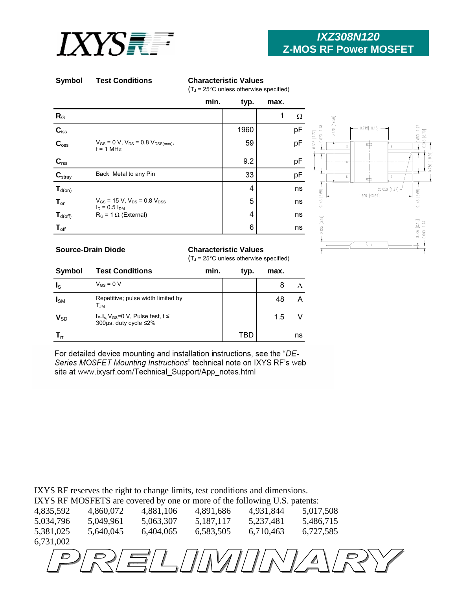

# **Symbol Test Conditions Characteristic Values**

 $(T<sub>J</sub> = 25<sup>°</sup>C$  unless otherwise specified)

|                                                                                            | min.                                                            | typ. | max. |    |
|--------------------------------------------------------------------------------------------|-----------------------------------------------------------------|------|------|----|
| $R_G$                                                                                      |                                                                 |      | 1    | Ω  |
| $\mathbf{C}_{\text{iss}}$                                                                  |                                                                 | 1960 |      | pF |
| C <sub>oss</sub>                                                                           | $V_{GS}$ = 0 V, $V_{DS}$ = 0.8 $V_{DSS(max)}$ ,<br>$f = 1$ MHz  | 59   |      | pF |
|                                                                                            |                                                                 | 9.2  |      | pF |
| $\begin{array}{c} \textbf{C}_{\text{rss}} \\ \hline \textbf{C}_{\text{stray}} \end{array}$ | Back Metal to any Pin                                           | 33   |      | pF |
| $T_{d(on)}$                                                                                |                                                                 | 4    |      | ns |
| $T_{on}$                                                                                   | $V_{GS}$ = 15 V, $V_{DS}$ = 0.8 $V_{DSS}$<br>$I_D = 0.5 I_{DM}$ | 5    |      | ns |
| $T_{d(off)}$                                                                               | $R_G = 1 \Omega$ (External)                                     | 4    |      | ns |
| $T_{\text{off}}$                                                                           |                                                                 | 6    |      | ns |



## **Source-Drain Diode**

### **Characteristic Values**

 $(T_J = 25^{\circ}$ C unless otherwise specified)

| <b>Symbol</b>              | <b>Test Conditions</b>                                                            | min. | typ. | max. |    |
|----------------------------|-----------------------------------------------------------------------------------|------|------|------|----|
| Ιs                         | $V_{CS} = 0 V$                                                                    |      |      |      |    |
| $I_{SM}$                   | Repetitive; pulse width limited by<br>$\mathsf{T}_{\mathsf{JM}}$                  |      |      | 48   |    |
| $V_{SD}$                   | $I_{F=I_s}$ , V <sub>GS</sub> =0 V, Pulse test, t $\leq$<br>300µs, duty cycle ≤2% |      |      | 1.5  |    |
| $\mathsf{T}_{\mathsf{nr}}$ |                                                                                   |      |      |      | ns |

For detailed device mounting and installation instructions, see the "DE-Series MOSFET Mounting Instructions" technical note on IXYS RF's web site at www.ixysrf.com/Technical\_Support/App\_notes.html

IXYS RF reserves the right to change limits, test conditions and dimensions.

IXYS RF MOSFETS are covered by one or more of the following U.S. patents:

| 4,835,592 | 4,860,072 | 4,881,106 | 4,891,686 | 4,931,844 | 5,017,508 |  |
|-----------|-----------|-----------|-----------|-----------|-----------|--|
| 5,034,796 | 5,049,961 | 5,063,307 | 5,187,117 | 5,237,481 | 5,486,715 |  |
| 5,381,025 | 5,640,045 | 6,404,065 | 6,583,505 | 6,710,463 | 6,727,585 |  |
| 6,731,002 |           |           |           |           |           |  |
|           |           |           |           |           |           |  |